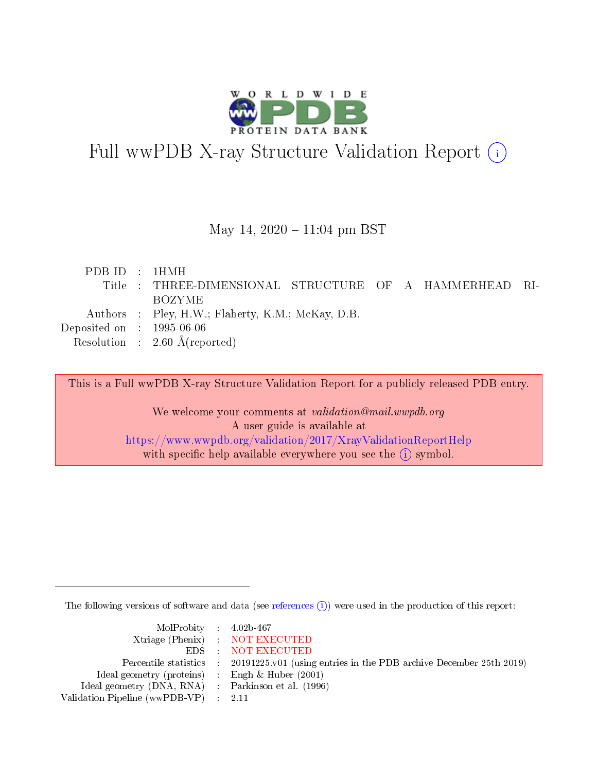

# Full wwPDB X-ray Structure Validation Report (i)

### May 14,  $2020 - 11:04$  pm BST

| PDBID : 1HMH                   |                                                        |  |
|--------------------------------|--------------------------------------------------------|--|
|                                | Title: THREE-DIMENSIONAL STRUCTURE OF A HAMMERHEAD RI- |  |
|                                | <b>BOZYME</b>                                          |  |
|                                | Authors : Pley, H.W.; Flaherty, K.M.; McKay, D.B.      |  |
| Deposited on $\,$ : 1995-06-06 |                                                        |  |
|                                | Resolution : $2.60 \text{ Å}$ (reported)               |  |

This is a Full wwPDB X-ray Structure Validation Report for a publicly released PDB entry.

We welcome your comments at validation@mail.wwpdb.org A user guide is available at <https://www.wwpdb.org/validation/2017/XrayValidationReportHelp> with specific help available everywhere you see the  $(i)$  symbol.

The following versions of software and data (see [references](https://www.wwpdb.org/validation/2017/XrayValidationReportHelp#references)  $\overline{(1)}$ ) were used in the production of this report:

| $MolProbability$ 4.02b-467                          |                                                                    |
|-----------------------------------------------------|--------------------------------------------------------------------|
|                                                     | Xtriage (Phenix) NOT EXECUTED                                      |
|                                                     | EDS : NOT EXECUTED                                                 |
| Percentile statistics :                             | 20191225.v01 (using entries in the PDB archive December 25th 2019) |
| Ideal geometry (proteins) :                         | Engh $\&$ Huber (2001)                                             |
| Ideal geometry (DNA, RNA) : Parkinson et al. (1996) |                                                                    |
| Validation Pipeline (wwPDB-VP) : 2.11               |                                                                    |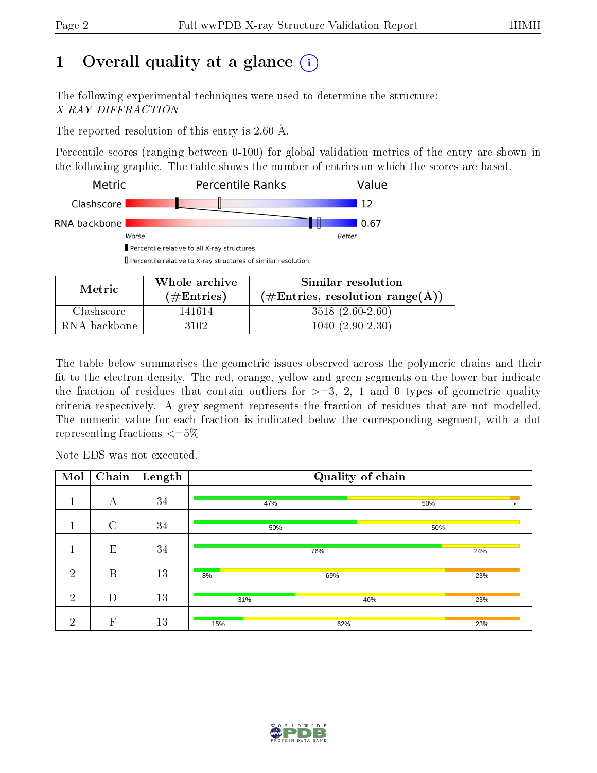# 1 [O](https://www.wwpdb.org/validation/2017/XrayValidationReportHelp#overall_quality)verall quality at a glance  $(i)$

The following experimental techniques were used to determine the structure: X-RAY DIFFRACTION

The reported resolution of this entry is 2.60 Å.

Percentile scores (ranging between 0-100) for global validation metrics of the entry are shown in the following graphic. The table shows the number of entries on which the scores are based.



| Metric       | Whole archive<br>$(\#\text{Entries})$ | Similar resolution<br>$(\#Entries, resolution range(A))$ |
|--------------|---------------------------------------|----------------------------------------------------------|
| Clashscore   | 141614                                | $3518(2.60-2.60)$                                        |
| RNA backbone | 3102                                  | $1040(2.90-2.30)$                                        |

The table below summarises the geometric issues observed across the polymeric chains and their fit to the electron density. The red, orange, yellow and green segments on the lower bar indicate the fraction of residues that contain outliers for  $\geq=3$ , 2, 1 and 0 types of geometric quality criteria respectively. A grey segment represents the fraction of residues that are not modelled. The numeric value for each fraction is indicated below the corresponding segment, with a dot representing fractions  $\epsilon = 5\%$ 

Note EDS was not executed.

| Mol            | Chain                     | Length | Quality of chain |     |     |  |  |  |  |
|----------------|---------------------------|--------|------------------|-----|-----|--|--|--|--|
|                | А                         | 34     | 47%              |     | 50% |  |  |  |  |
|                | $\overline{C}$            | 34     | 50%              |     | 50% |  |  |  |  |
|                | E                         | 34     |                  | 76% | 24% |  |  |  |  |
| $\overline{2}$ | B                         | 13     | 8%               | 69% | 23% |  |  |  |  |
| $\overline{2}$ | D                         | 13     | 31%              | 46% | 23% |  |  |  |  |
| $\overline{2}$ | $\boldsymbol{\mathrm{F}}$ | 13     | 15%              | 62% | 23% |  |  |  |  |

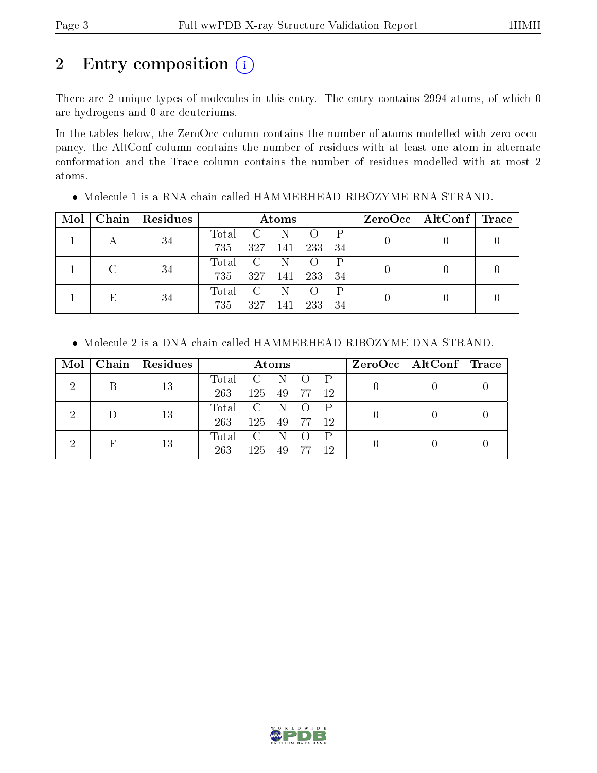# 2 Entry composition (i)

There are 2 unique types of molecules in this entry. The entry contains 2994 atoms, of which 0 are hydrogens and 0 are deuteriums.

In the tables below, the ZeroOcc column contains the number of atoms modelled with zero occupancy, the AltConf column contains the number of residues with at least one atom in alternate conformation and the Trace column contains the number of residues modelled with at most 2 atoms.

| Mol |    | Chain   Residues | Atoms     |               |         |                  |     |  | ZeroOcc   AltConf   Trace |  |
|-----|----|------------------|-----------|---------------|---------|------------------|-----|--|---------------------------|--|
|     |    | 34               | Total     | $\mathcal{C}$ |         |                  |     |  |                           |  |
|     |    |                  | 735       |               | 327 141 | 233              | 34  |  |                           |  |
|     |    |                  | Total C N |               |         | $\left( \right)$ |     |  |                           |  |
|     |    | 34               | 735       | 327 141       |         | 233              | -34 |  |                           |  |
|     |    |                  | Total     | C             |         |                  |     |  |                           |  |
|     | 34 | 735              | 327       | 141           | 233     | 34               |     |  |                           |  |

Molecule 1 is a RNA chain called HAMMERHEAD RIBOZYME-RNA STRAND.

Molecule 2 is a DNA chain called HAMMERHEAD RIBOZYME-DNA STRAND.

| Mol | Chain | Residues | Atoms          |       |                  |                  |    | ZeroOcc   AltConf   Trace |  |
|-----|-------|----------|----------------|-------|------------------|------------------|----|---------------------------|--|
|     |       | 13       | Total          | C N   |                  | $O$ $P$          |    |                           |  |
|     |       |          | 263            | 125   | -49              | - 77             | 12 |                           |  |
|     |       | 13       | Total          | $C$ N |                  | $\left( \right)$ |    |                           |  |
|     |       |          | 263            | 125   | 49               | -77              | 12 |                           |  |
|     | 13    | Total    | $\overline{C}$ | - N   | $\left( \right)$ |                  |    |                           |  |
|     |       |          | 263            | 125   | 49               | -77              | 12 |                           |  |

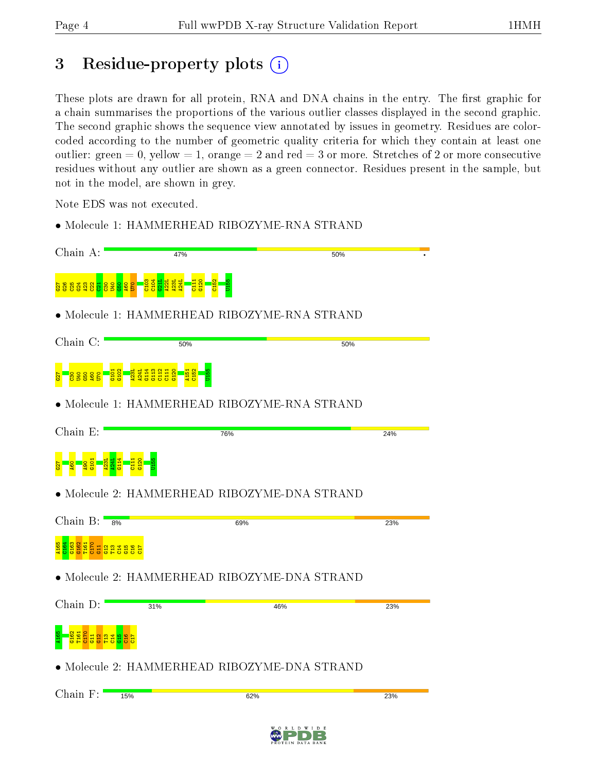# 3 Residue-property plots (i)

These plots are drawn for all protein, RNA and DNA chains in the entry. The first graphic for a chain summarises the proportions of the various outlier classes displayed in the second graphic. The second graphic shows the sequence view annotated by issues in geometry. Residues are colorcoded according to the number of geometric quality criteria for which they contain at least one outlier: green  $= 0$ , yellow  $= 1$ , orange  $= 2$  and red  $= 3$  or more. Stretches of 2 or more consecutive residues without any outlier are shown as a green connector. Residues present in the sample, but not in the model, are shown in grey.

Note EDS was not executed.

• Molecule 1: HAMMERHEAD RIBOZYME-RNA STRAND

| Chain A:                                           | 47%                                          | 50%                                               |     |
|----------------------------------------------------|----------------------------------------------|---------------------------------------------------|-----|
| <u>ង្គន្ធង្គន្ធង្គ</u>                             |                                              |                                                   |     |
|                                                    | • Molecule 1: HAMMERHEAD RIBOZYME-RNA STRAND |                                                   |     |
| Chain C:                                           | 50%                                          | 50%                                               |     |
| ğ                                                  |                                              |                                                   |     |
|                                                    | • Molecule 1: HAMMERHEAD RIBOZYME-RNA STRAND |                                                   |     |
| Chain E:                                           | 76%                                          |                                                   | 24% |
|                                                    |                                              |                                                   |     |
|                                                    | · Molecule 2: HAMMERHEAD RIBOZYME-DNA STRAND |                                                   |     |
| Chain $B:$<br>8%                                   | 69%                                          |                                                   | 23% |
| $\frac{16}{2}$<br>$\frac{12}{113}$<br>$\mathbb{H}$ | 읔                                            |                                                   |     |
|                                                    | · Molecule 2: HAMMERHEAD RIBOZYME-DNA STRAND |                                                   |     |
| Chain D:                                           | 31%                                          | 46%                                               | 23% |
|                                                    |                                              |                                                   |     |
|                                                    | Molecule 2: HAMMERHEAD RIBOZYME-DNA STRAND   |                                                   |     |
| Chain F:                                           | 15%                                          | 62%                                               | 23% |
|                                                    |                                              | W<br>O R<br>D<br>W<br>D<br>L<br>$\mathbf{I}$<br>E |     |

 $\frac{1}{2}$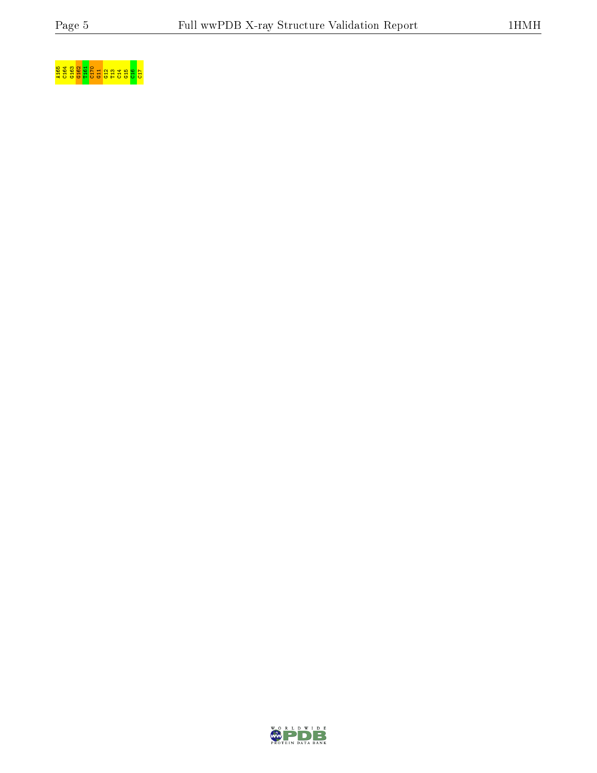# <mark>ទ្ធ ខ្ញុំ ខ្ញុំ ខ្ញុំ</mark> ខ្ញុំ ខ្ញុំ ខ្ញុំ ខ្ញុំ ខ្ញុំ <mark>ខ្ញុំ ខ្ញុំ</mark> ខ្ញុំ ខ្ញុំ <mark>ខ្ញុំ</mark> ខ្ញុំ ខ្ញុំ ខ្ញុំ ខ្ញុំ ខ្ញុំ ខ្ញុំ ខ្ញុំ ខ្ញុំ ខ្ញុំ ខ្ញុំ ខ្ញុំ ខ្ញុំ ខ្ញុំ ខ្ញុំ ខ្ញុំ ខ្ញុំ ខ្ញុំ ខ្ញុំ ខ្ញុំ ខ្ញុំ ខ្ញុំ ខ្ញុំ ខ្

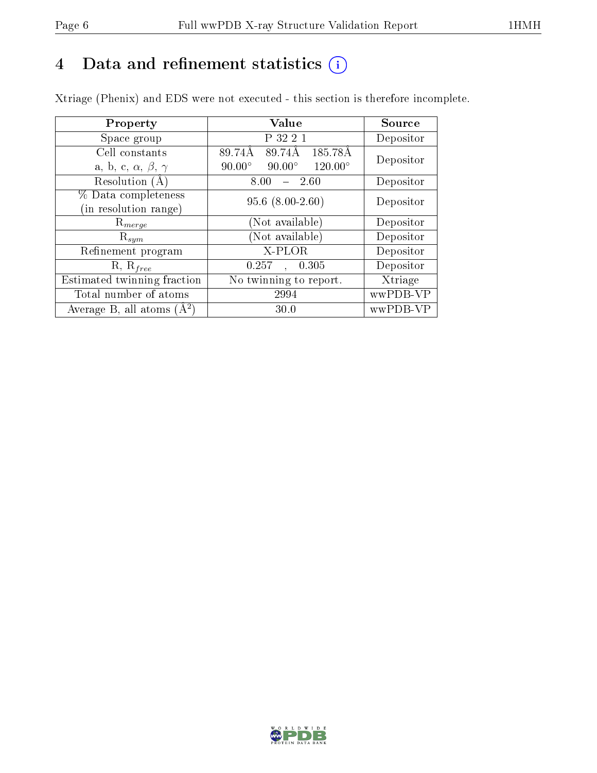# 4 Data and refinement statistics  $(i)$

Xtriage (Phenix) and EDS were not executed - this section is therefore incomplete.

| Property                               | Value                                              | Source    |  |
|----------------------------------------|----------------------------------------------------|-----------|--|
| Space group                            | P 32 2 1                                           | Depositor |  |
| Cell constants                         | 89.74Å<br>$185.78\text{\AA}$<br>89.74Å             | Depositor |  |
| a, b, c, $\alpha$ , $\beta$ , $\gamma$ | $120.00^{\circ}$<br>$90.00^\circ$<br>$90.00^\circ$ |           |  |
| Resolution (A)                         | 8.00<br>$-2.60$                                    | Depositor |  |
| % Data completeness                    | $95.6$ $(8.00-2.60)$                               | Depositor |  |
| (in resolution range)                  |                                                    |           |  |
| $R_{merge}$                            | (Not available)                                    | Depositor |  |
| $\mathrm{R}_{sym}$                     | (Not available)                                    | Depositor |  |
| Refinement program                     | X-PLOR                                             | Depositor |  |
| $R, R_{free}$                          | 0.257<br>0.305                                     | Depositor |  |
| Estimated twinning fraction            | No twinning to report.                             | Xtriage   |  |
| Total number of atoms                  | 2994                                               | wwPDB-VP  |  |
| Average B, all atoms $(A^2)$           | 30.0                                               | wwPDB-VP  |  |

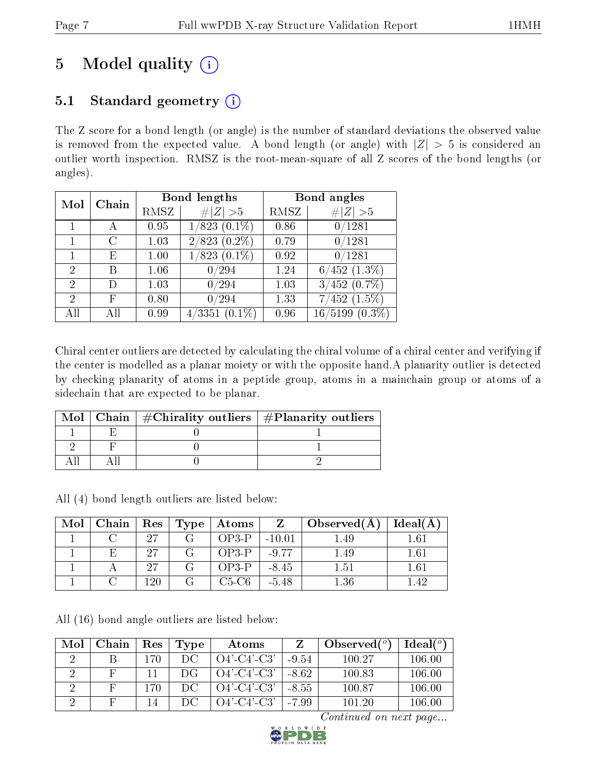# 5 Model quality  $(i)$

# 5.1 Standard geometry  $(i)$

The Z score for a bond length (or angle) is the number of standard deviations the observed value is removed from the expected value. A bond length (or angle) with  $|Z| > 5$  is considered an outlier worth inspection. RMSZ is the root-mean-square of all Z scores of the bond lengths (or angles).

| Mol            | Chain |      | <b>Bond lengths</b>       | Bond angles |                      |  |
|----------------|-------|------|---------------------------|-------------|----------------------|--|
|                |       | RMSZ | $\ Z\  > 5$               | RMSZ        | # $ Z  > 5$          |  |
|                |       | 0.95 | $1/823$ $(0.1\%)$         | 0.86        | 0/1281               |  |
|                |       | 1.03 | $\overline{2/823}(0.2\%)$ | 0.79        | 0/1281               |  |
|                | E     | 1.00 | $1/823(0.1\%)$            | 0.92        | 0/1281               |  |
| $\overline{2}$ | В     | 1.06 | 0/294                     | 1.24        | $6/452$ $(1.3\%)$    |  |
| 2              | D     | 1.03 | 0/294                     | 1.03        | $3/452$ (0.7%)       |  |
| $\overline{2}$ | F     | 0.80 | 0/294                     | 1.33        | $7/452$ $(1.5\%)$    |  |
| All            | Αll   | 0.99 | $(0.1\%)$<br>4/3351       | 0.96        | 16/5199<br>$(0.3\%)$ |  |

Chiral center outliers are detected by calculating the chiral volume of a chiral center and verifying if the center is modelled as a planar moiety or with the opposite hand.A planarity outlier is detected by checking planarity of atoms in a peptide group, atoms in a mainchain group or atoms of a sidechain that are expected to be planar.

|  | Mol   Chain   $\#\text{Chirality outliers}$   $\#\text{Planarity outliers}$ |
|--|-----------------------------------------------------------------------------|
|  |                                                                             |
|  |                                                                             |
|  |                                                                             |

All (4) bond length outliers are listed below:

| Mol | Chain | Res | Type | Atoms   |          | Observed $(A)$ | Ideal(A) |
|-----|-------|-----|------|---------|----------|----------------|----------|
|     |       | 97  |      | $OP3-P$ | $-10.01$ | .49            | $1.61\,$ |
|     |       | 97  |      | $OP3-P$ | $-9.77$  | 49             | $1.61\,$ |
|     |       | 27  |      | OP3-P   | $-8.45$  | 1.51           | $1.61\,$ |
|     |       | -20 |      | C5-C6   | $-5.48$  | .36            |          |

All (16) bond angle outliers are listed below:

| Mol | Chain | $\operatorname{Res}% \left( \mathcal{N}\right) \equiv\operatorname{Res}(\mathcal{N}_{0})\cap\mathcal{N}_{1}$ | Type | Atoms          |         | Observed $(^\circ)$ | $Ideal(^o)$ |
|-----|-------|--------------------------------------------------------------------------------------------------------------|------|----------------|---------|---------------------|-------------|
|     |       | 170                                                                                                          | DC.  | $O4'$ -C4'-C3' | $-9.54$ | 100.27              | 106.00      |
|     |       |                                                                                                              | DG   | $O4'$ -C4'-C3' | $-8.62$ | 100.83              | 106.00      |
|     |       | 170                                                                                                          | DC.  | $O4'$ -C4'-C3' | $-8.55$ | 100.87              | 106.00      |
|     |       | 14                                                                                                           | DC.  | $O4'$ -C4'-C3' | $-7.99$ | 101.20              | 106.00      |

Continued on next page...

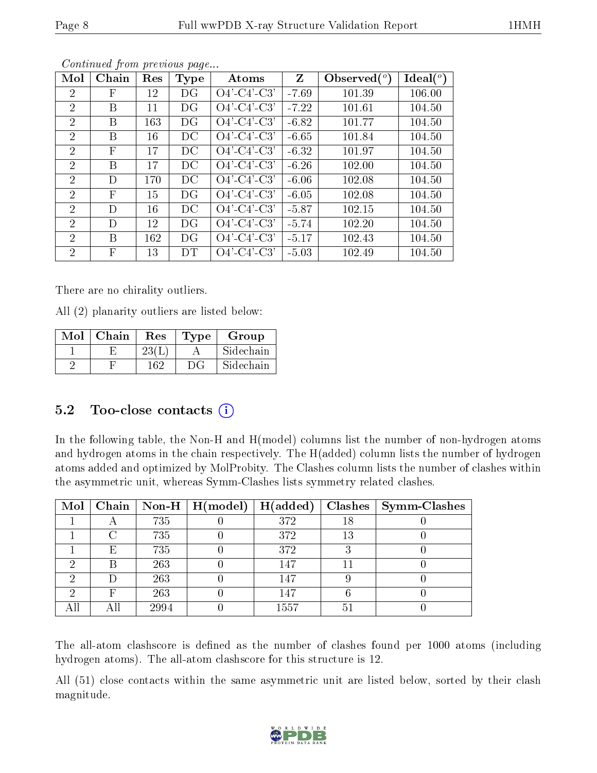| Mol            | Chain        | Res | Type | Atoms          | Z       | Observed $(^\circ)$ | $\text{Ideal}({}^o)$ |
|----------------|--------------|-----|------|----------------|---------|---------------------|----------------------|
| $\overline{2}$ | F            | 12  | DG   | $O4'$ -C4'-C3' | $-7.69$ | 101.39              | 106.00               |
| $\overline{2}$ | B            | 11  | DG   | $O4'$ -C4'-C3' | $-7.22$ | 101.61              | 104.50               |
| $\overline{2}$ | B            | 163 | DG   | $O4'$ -C4'-C3' | $-6.82$ | 101.77              | 104.50               |
| $\overline{2}$ | B            | 16  | DC   | $O4'$ -C4'-C3' | $-6.65$ | 101.84              | 104.50               |
| $\overline{2}$ | $\mathbf{F}$ | 17  | DC   | $O4'$ -C4'-C3' | $-6.32$ | 101.97              | 104.50               |
| $\overline{2}$ | B            | 17  | DC   | $O4'$ -C4'-C3' | $-6.26$ | 102.00              | 104.50               |
| $\overline{2}$ | D            | 170 | DC   | $O4'$ -C4'-C3' | $-6.06$ | 102.08              | 104.50               |
| $\overline{2}$ | $_{\rm F}$   | 15  | DG   | $O4'$ -C4'-C3' | $-6.05$ | 102.08              | 104.50               |
| $\overline{2}$ | D            | 16  | DC   | $O4'$ -C4'-C3' | $-5.87$ | 102.15              | 104.50               |
| 2              | D            | 12  | DG   | $O4'$ -C4'-C3' | $-5.74$ | 102.20              | 104.50               |
| $\overline{2}$ | B            | 162 | DG   | $O4'$ -C4'-C3' | $-5.17$ | 102.43              | 104.50               |
| 2              | F            | 13  | DT   | $O4'$ -C4'-C3' | $-5.03$ | 102.49              | 104.50               |

Continued from previous page...

There are no chirality outliers.

All (2) planarity outliers are listed below:

| Mol | Chain | $\operatorname{Res}% \left( \mathcal{N}\right) \equiv\operatorname{Res}(\mathcal{N}_{0})\cap\mathcal{N}_{1}$ | Type | Group     |
|-----|-------|--------------------------------------------------------------------------------------------------------------|------|-----------|
|     |       | 23(I                                                                                                         |      | Sidechain |
|     |       | 162                                                                                                          | DG   | Sidechain |

# 5.2 Too-close contacts  $(i)$

In the following table, the Non-H and H(model) columns list the number of non-hydrogen atoms and hydrogen atoms in the chain respectively. The H(added) column lists the number of hydrogen atoms added and optimized by MolProbity. The Clashes column lists the number of clashes within the asymmetric unit, whereas Symm-Clashes lists symmetry related clashes.

| Mol |   |      | Chain   Non-H $\mid$ H(model) | H(added) | Clashes | $\vert$ Symm-Clashes |
|-----|---|------|-------------------------------|----------|---------|----------------------|
|     |   | 735  |                               | 372      | 18      |                      |
|     |   | 735  |                               | 372      | 13      |                      |
|     | E | 735  |                               | 372      |         |                      |
|     |   | 263  |                               | 147      |         |                      |
|     | Ð | 263  |                               | 147      |         |                      |
|     | F | 263  |                               | 147      |         |                      |
|     |   | 2994 |                               | 1557     | 51      |                      |

The all-atom clashscore is defined as the number of clashes found per 1000 atoms (including hydrogen atoms). The all-atom clashscore for this structure is 12.

All (51) close contacts within the same asymmetric unit are listed below, sorted by their clash magnitude.

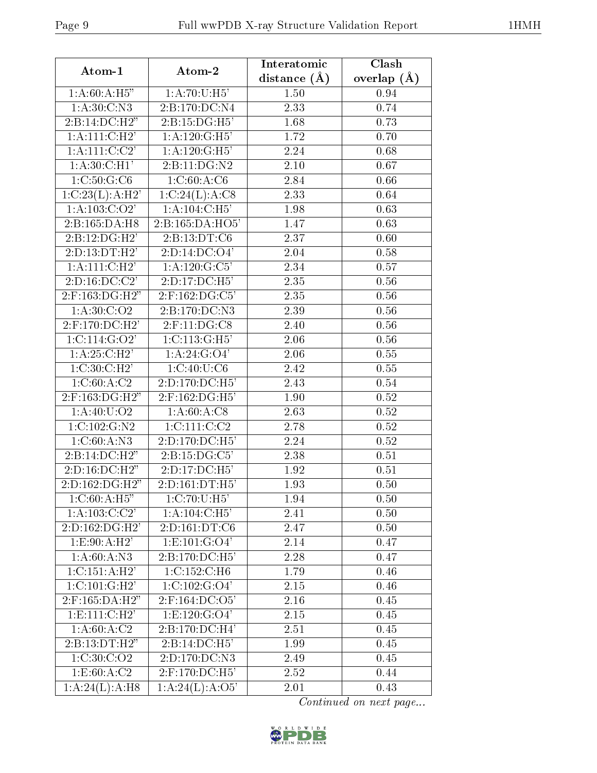| Atom-1                         | Atom-2                         | Interatomic         | Clash         |  |
|--------------------------------|--------------------------------|---------------------|---------------|--|
|                                |                                | $(\AA)$<br>distance | overlap $(A)$ |  |
| 1: A:60:A:H5"                  | 1: A:70:U:H5'                  | 1.50                | 0.94          |  |
| 1: A:30: C: N3                 | 2:B:170:DC:N4                  | 2.33                | 0.74          |  |
| 2:B:14:DC:H2"                  | 2:B:15:DG:H5'                  | 1.68                | 0.73          |  |
| 1: A: 111:C:H2'                | 1: A: 120: G: H5'              | 1.72                | 0.70          |  |
| 1:A:111:C:C2'                  | 1: A: 120: G: H5'              | 2.24                | 0.68          |  |
| 1: A:30: C: H1'                | 2:B:11:DG:N2                   | 2.10                | 0.67          |  |
| 1:C:50:G:C6                    | 1:C:60:A:C6                    | 2.84                | 0.66          |  |
| 1:C:23(L):A:H2'                | 1:C:24(L):A:C8                 | $\overline{2.33}$   | 0.64          |  |
| 1: A: 103: C: O2'              | 1: A: 104: C: H5'              | 1.98                | 0.63          |  |
| 2:B:165:DA:H8                  | 2:Bi:165:DA:HO5'               | 1.47                | 0.63          |  |
| 2:B:12:DG:H2'                  | 2:B:13:DT:C6                   | 2.37                | 0.60          |  |
| 2:D:13:DT:H2'                  | 2:D:14:DC:O4'                  | 2.04                | 0.58          |  |
| $1:A:111:\overline{C:H2'}$     | 1: A: 120: G: C5'              | 2.34                | 0.57          |  |
| $2: D: 16: \overline{DC: C2'}$ | $2: D: 17: DC: \overline{H5'}$ | 2.35                | 0.56          |  |
| 2:F:163:DG:H2"                 | 2:F:162:DG:C5'                 | 2.35                | 0.56          |  |
| 1:A:30:C:O2                    | 2:B:170:DC:NS                  | 2.39                | 0.56          |  |
| $2:$ F:170:DC:H2'              | $2:$ F:11:DG:C8                | 2.40                | 0.56          |  |
| 1:C:114:G:O2'                  | 1:C:113:G:H5'                  | 2.06                | 0.56          |  |
| 1:A:25:C:H2'                   | 1:A:24:G:O4'                   | 2.06                | 0.55          |  |
| 1:C:30:C:H2                    | 1:C:40:U:C6                    | 2.42                | 0.55          |  |
| 1:C:60:A:C2                    | 2:D:170:DC:H5'                 | 2.43                | 0.54          |  |
| 2:F:163:DG:H2"                 | 2:F:162:DG:H5'                 | 1.90                | 0.52          |  |
| 1: A: 40: U: O2                | 1: A:60:A:C8                   | 2.63                | 0.52          |  |
| 1:C:102:G:N2                   | 1:C:111:C:C2                   | 2.78                | 0.52          |  |
| 1: C: 60:A: N3                 | $2:D:170:DC:\overline{H5'}$    | 2.24                | 0.52          |  |
| 2:B:14:DC:H2"                  | 2:B:15:DG:C5'                  | 2.38                | 0.51          |  |
| 2:D:16:DC:H2"                  | 2:D:17:DC:H5'                  | 1.92                | 0.51          |  |
| 2:D:162:DG:H2"                 | 2:D:161:DT:H5'                 | 1.93                | 0.50          |  |
| 1: C:60:A:H5"                  | 1:C:70:U:H5'                   | 1.94                | 0.50          |  |
| 1: A: 103: C: C2'              | 1: A: 104: C: H5'              | 2.41                | 0.50          |  |
| 2:D:162:DG:H2'                 | 2:D:161:DT:C6                  | 2.47                | 0.50          |  |
| 1:E:90:A:H2'                   | 1: E: 101: G: O4'              | 2.14                | 0.47          |  |
| 1:A:60:A:N3                    | $2: B: 170:DC: \overline{H5'}$ | 2.28                | 0.47          |  |
| 1: C: 151: A:H2'               | 1: C: 152: C: H6               | 1.79                | 0.46          |  |
| 1:C:101:G:H2'                  | $1:C:\overline{102:C:O4}$      | 2.15                | 0.46          |  |
| 2:F:165:DA:H2"                 | $2:$ F:164:DC:O5'              | 2.16                | 0.45          |  |
| 1: E: 111:C:H2'                | 1: E: 120: G: O4'              | 2.15                | 0.45          |  |
| 1: A:60:A:C2                   | 2:B:170:DC:H4'                 | 2.51                | 0.45          |  |
| 2:B:13:DT:H2"                  | 2:B:14:DC:H5'                  | 1.99                | 0.45          |  |
| 1: C: 30: C: O2                | 2:D:170:DC:N3                  | 2.49                | 0.45          |  |
| 1: E: 60:A:C2                  | 2:F:170:DC:H5'                 | 2.52                | 0.44          |  |
| 1:A:24(L):A:H8                 | 1:A:24(L):A:O5'                | 2.01                | 0.43          |  |

Continued on next page...

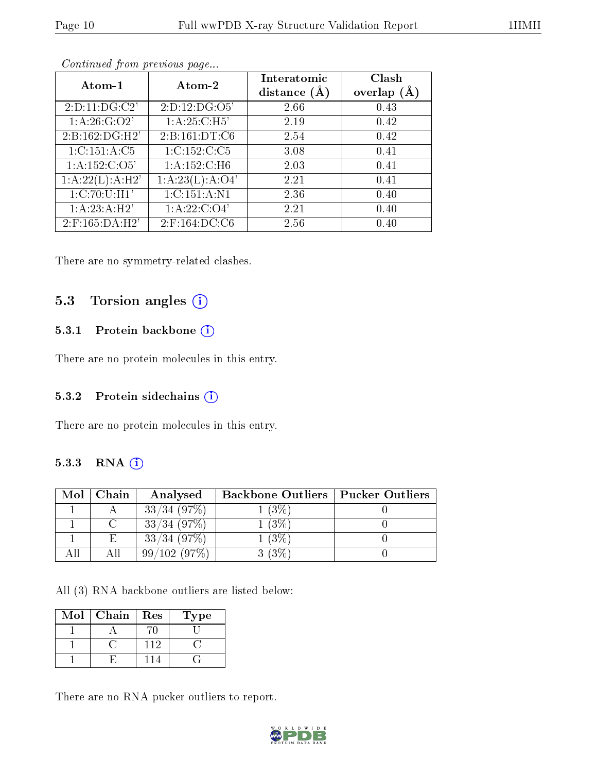| Atom-1                     | Atom-2           | Interatomic<br>distance $(A)$ | Clash<br>overlap (Å |
|----------------------------|------------------|-------------------------------|---------------------|
| 2:D:11:DG:C2'              | 2:D:12:DG:O5'    | 2.66                          | 0.43                |
| 1: A:26: G:O2'             | 1: A:25: C:H5'   | 2.19                          | 0.42                |
| 2:B:162:DG:H2'             | 2:B:161:DT:C6    | 2.54                          | 0.42                |
| 1: C: 151: A: C5           | 1:C:152:C:C5     | 3.08                          | 0.41                |
| 1: A: 152: C: O5'          | 1:A:152:C:H6     | 2.03                          | 0.41                |
| 1:A:22(L):A:H2'            | 1:A:23(L):A:O4'  | 2.21                          | 0.41                |
| $\overline{1:C}$ :70:U:H1' | 1:C:151:A:N1     | 2.36                          | 0.40                |
| 1:A:23:A:H2'               | 1: A:22:C:O4'    | 2.21                          | 0.40                |
| $2:$ F:165:DA:H2'          | $2:$ F:164:DC:C6 | 2.56                          | 0.40                |

Continued from previous page...

There are no symmetry-related clashes.

### 5.3 Torsion angles (i)

### 5.3.1 Protein backbone (i)

There are no protein molecules in this entry.

#### 5.3.2 Protein sidechains (i)

There are no protein molecules in this entry.

#### 5.3.3 RNA [O](https://www.wwpdb.org/validation/2017/XrayValidationReportHelp#rna)i

| Mol | Chain  | Analysed       | <b>Backbone Outliers   Pucker Outliers</b> |  |
|-----|--------|----------------|--------------------------------------------|--|
|     |        | $33/34$ (97\%) | (3%)                                       |  |
|     | $\cap$ | $33/34$ (97\%) | $^{\prime}3\%$                             |  |
|     | E      | $33/34$ (97\%) | $3\%$                                      |  |
|     | АH     | 99/102(97%)    |                                            |  |

All (3) RNA backbone outliers are listed below:

| Mol | Chain | Res | $_{\rm Type}$ |
|-----|-------|-----|---------------|
|     |       |     |               |
|     |       | 119 |               |
|     |       |     |               |

There are no RNA pucker outliers to report.

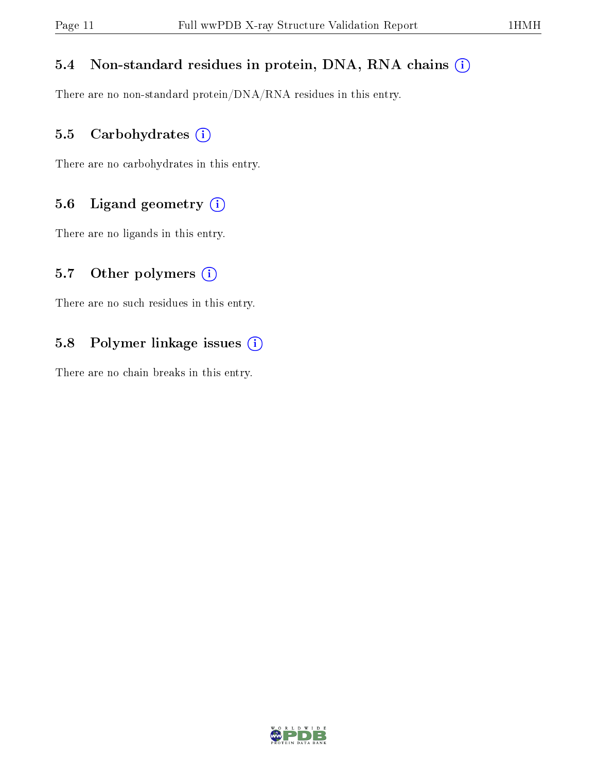# 5.4 Non-standard residues in protein, DNA, RNA chains (i)

There are no non-standard protein/DNA/RNA residues in this entry.

### 5.5 Carbohydrates (i)

There are no carbohydrates in this entry.

# 5.6 Ligand geometry (i)

There are no ligands in this entry.

# 5.7 [O](https://www.wwpdb.org/validation/2017/XrayValidationReportHelp#nonstandard_residues_and_ligands)ther polymers  $(i)$

There are no such residues in this entry.

# 5.8 Polymer linkage issues (i)

There are no chain breaks in this entry.